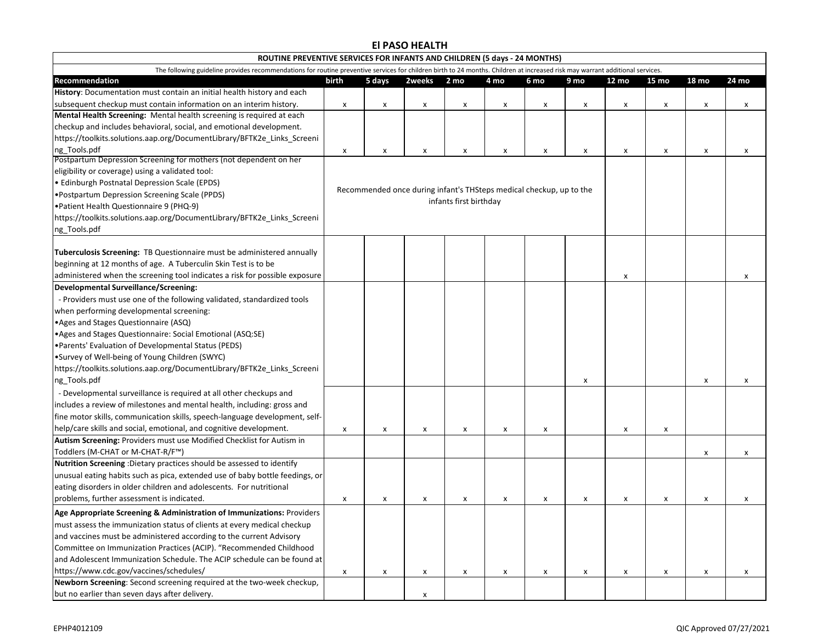## **El PASO HEALTH**

| <b>ROUTINE PREVENTIVE SERVICES FOR INFANTS AND CHILDREN (5 days - 24 MONTHS)</b>                                                                                              |                                                                     |        |        |                           |      |      |      |       |       |                           |       |
|-------------------------------------------------------------------------------------------------------------------------------------------------------------------------------|---------------------------------------------------------------------|--------|--------|---------------------------|------|------|------|-------|-------|---------------------------|-------|
| The following guideline provides recommendations for routine preventive services for children birth to 24 months. Children at increased risk may warrant additional services. |                                                                     |        |        |                           |      |      |      |       |       |                           |       |
| Recommendation                                                                                                                                                                | birth                                                               | 5 days | 2weeks | 2 mo                      | 4 mo | 6 mo | 9 mo | 12 mo | 15 mo | 18 mo                     | 24 mo |
| History: Documentation must contain an initial health history and each                                                                                                        |                                                                     |        |        |                           |      |      |      |       |       |                           |       |
| subsequent checkup must contain information on an interim history.                                                                                                            | x                                                                   | x      | х      | $\boldsymbol{\mathsf{x}}$ | x    | x    | x    | x     | x     | x                         | x     |
| Mental Health Screening: Mental health screening is required at each                                                                                                          |                                                                     |        |        |                           |      |      |      |       |       |                           |       |
| checkup and includes behavioral, social, and emotional development.                                                                                                           |                                                                     |        |        |                           |      |      |      |       |       |                           |       |
| https://toolkits.solutions.aap.org/DocumentLibrary/BFTK2e Links Screeni                                                                                                       |                                                                     |        |        |                           |      |      |      |       |       |                           |       |
| ng_Tools.pdf                                                                                                                                                                  | x                                                                   | x      | x      | x                         | x    | x    | x    | x     | x     | $\boldsymbol{\mathsf{x}}$ | x     |
| Postpartum Depression Screening for mothers (not dependent on her                                                                                                             |                                                                     |        |        |                           |      |      |      |       |       |                           |       |
| eligibility or coverage) using a validated tool:                                                                                                                              | Recommended once during infant's THSteps medical checkup, up to the |        |        |                           |      |      |      |       |       |                           |       |
| • Edinburgh Postnatal Depression Scale (EPDS)                                                                                                                                 |                                                                     |        |        |                           |      |      |      |       |       |                           |       |
| •Postpartum Depression Screening Scale (PPDS)                                                                                                                                 |                                                                     |        |        |                           |      |      |      |       |       |                           |       |
| •Patient Health Questionnaire 9 (PHQ-9)                                                                                                                                       | infants first birthday                                              |        |        |                           |      |      |      |       |       |                           |       |
| https://toolkits.solutions.aap.org/DocumentLibrary/BFTK2e_Links_Screeni                                                                                                       |                                                                     |        |        |                           |      |      |      |       |       |                           |       |
| ng_Tools.pdf                                                                                                                                                                  |                                                                     |        |        |                           |      |      |      |       |       |                           |       |
|                                                                                                                                                                               |                                                                     |        |        |                           |      |      |      |       |       |                           |       |
| Tuberculosis Screening: TB Questionnaire must be administered annually                                                                                                        |                                                                     |        |        |                           |      |      |      |       |       |                           |       |
| beginning at 12 months of age. A Tuberculin Skin Test is to be                                                                                                                |                                                                     |        |        |                           |      |      |      |       |       |                           |       |
| administered when the screening tool indicates a risk for possible exposure                                                                                                   |                                                                     |        |        |                           |      |      |      | x     |       |                           | x     |
| <b>Developmental Surveillance/Screening:</b>                                                                                                                                  |                                                                     |        |        |                           |      |      |      |       |       |                           |       |
| - Providers must use one of the following validated, standardized tools                                                                                                       |                                                                     |        |        |                           |      |      |      |       |       |                           |       |
| when performing developmental screening:                                                                                                                                      |                                                                     |        |        |                           |      |      |      |       |       |                           |       |
| • Ages and Stages Questionnaire (ASQ)                                                                                                                                         |                                                                     |        |        |                           |      |      |      |       |       |                           |       |
| • Ages and Stages Questionnaire: Social Emotional (ASQ:SE)                                                                                                                    |                                                                     |        |        |                           |      |      |      |       |       |                           |       |
| . Parents' Evaluation of Developmental Status (PEDS)                                                                                                                          |                                                                     |        |        |                           |      |      |      |       |       |                           |       |
| •Survey of Well-being of Young Children (SWYC)                                                                                                                                |                                                                     |        |        |                           |      |      |      |       |       |                           |       |
| https://toolkits.solutions.aap.org/DocumentLibrary/BFTK2e_Links_Screeni                                                                                                       |                                                                     |        |        |                           |      |      |      |       |       |                           |       |
| ng_Tools.pdf                                                                                                                                                                  |                                                                     |        |        |                           |      |      | x    |       |       | x                         | x     |
| - Developmental surveillance is required at all other checkups and                                                                                                            |                                                                     |        |        |                           |      |      |      |       |       |                           |       |
| includes a review of milestones and mental health, including: gross and                                                                                                       |                                                                     |        |        |                           |      |      |      |       |       |                           |       |
| fine motor skills, communication skills, speech-language development, self-                                                                                                   |                                                                     |        |        |                           |      |      |      |       |       |                           |       |
| help/care skills and social, emotional, and cognitive development.                                                                                                            | x                                                                   | x      | x      | $\boldsymbol{\mathsf{x}}$ | х    | x    |      | x     | х     |                           |       |
| Autism Screening: Providers must use Modified Checklist for Autism in                                                                                                         |                                                                     |        |        |                           |      |      |      |       |       |                           |       |
| Toddlers (M-CHAT or M-CHAT-R/F™)                                                                                                                                              |                                                                     |        |        |                           |      |      |      |       |       | x                         | x     |
| Nutrition Screening : Dietary practices should be assessed to identify                                                                                                        |                                                                     |        |        |                           |      |      |      |       |       |                           |       |
| unusual eating habits such as pica, extended use of baby bottle feedings, or                                                                                                  |                                                                     |        |        |                           |      |      |      |       |       |                           |       |
| eating disorders in older children and adolescents. For nutritional                                                                                                           |                                                                     |        |        |                           |      |      |      |       |       |                           |       |
| problems, further assessment is indicated.                                                                                                                                    | x                                                                   | х      | х      | X                         | х    | x    | x    | x     | X     | x                         | х     |
| Age Appropriate Screening & Administration of Immunizations: Providers                                                                                                        |                                                                     |        |        |                           |      |      |      |       |       |                           |       |
| must assess the immunization status of clients at every medical checkup                                                                                                       |                                                                     |        |        |                           |      |      |      |       |       |                           |       |
| and vaccines must be administered according to the current Advisory                                                                                                           |                                                                     |        |        |                           |      |      |      |       |       |                           |       |
| Committee on Immunization Practices (ACIP). "Recommended Childhood                                                                                                            |                                                                     |        |        |                           |      |      |      |       |       |                           |       |
| and Adolescent Immunization Schedule. The ACIP schedule can be found at                                                                                                       |                                                                     |        |        |                           |      |      |      |       |       |                           |       |
| https://www.cdc.gov/vaccines/schedules/                                                                                                                                       | x                                                                   | x      | х      | X                         | х    | x    | x    | x     | X     | x                         | x     |
| Newborn Screening: Second screening required at the two-week checkup,                                                                                                         |                                                                     |        |        |                           |      |      |      |       |       |                           |       |
| but no earlier than seven days after delivery.                                                                                                                                |                                                                     |        | x      |                           |      |      |      |       |       |                           |       |